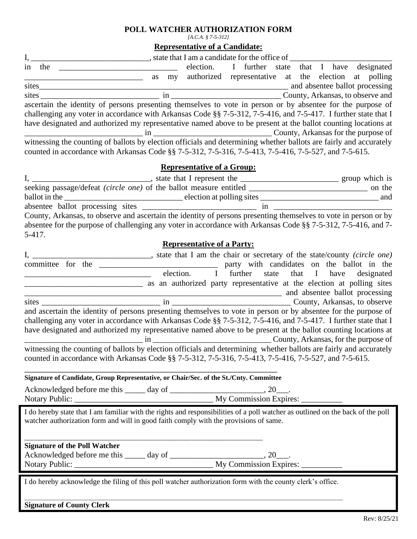## **POLL WATCHER AUTHORIZATION FORM**

*[A.C.A. § 7-5-312]*

**Representative of a Candidate:**

|                                                                                                                    | , state that I am a candidate for the office of |    |                                   |                                     |         |  |  |  |  |                                           |
|--------------------------------------------------------------------------------------------------------------------|-------------------------------------------------|----|-----------------------------------|-------------------------------------|---------|--|--|--|--|-------------------------------------------|
| the<br>in.                                                                                                         |                                                 |    | election.                         | $\mathbf{I}$                        | further |  |  |  |  | state that I have designated              |
|                                                                                                                    | as                                              | my | authorized                        |                                     |         |  |  |  |  | representative at the election at polling |
| sites                                                                                                              |                                                 |    |                                   |                                     |         |  |  |  |  | and absentee ballot processing            |
| sites                                                                                                              |                                                 | 1n |                                   |                                     |         |  |  |  |  | County, Arkansas, to observe and          |
| ascertain the identity of persons presenting themselves to vote in person or by absentee for the purpose of        |                                                 |    |                                   |                                     |         |  |  |  |  |                                           |
| challenging any voter in accordance with Arkansas Code §§ 7-5-312, 7-5-416, and 7-5-417. I further state that I    |                                                 |    |                                   |                                     |         |  |  |  |  |                                           |
| have designated and authorized my representative named above to be present at the ballot counting locations at     |                                                 |    |                                   |                                     |         |  |  |  |  |                                           |
| 1n                                                                                                                 |                                                 |    |                                   | County, Arkansas for the purpose of |         |  |  |  |  |                                           |
| witnessing the counting of ballots by election officials and determining whether ballots are fairly and accurately |                                                 |    |                                   |                                     |         |  |  |  |  |                                           |
| counted in accordance with Arkansas Code §§ 7-5-312, 7-5-316, 7-5-413, 7-5-416, 7-5-527, and 7-5-615.              |                                                 |    |                                   |                                     |         |  |  |  |  |                                           |
|                                                                                                                    |                                                 |    | <b>Representative of a Group:</b> |                                     |         |  |  |  |  |                                           |

|                                                                                                                  | state that I represent the | group which is |
|------------------------------------------------------------------------------------------------------------------|----------------------------|----------------|
| seeking passage/defeat <i>(circle one)</i> of the ballot measure entitled                                        |                            | on the         |
| ballot in the                                                                                                    | election at polling sites  | and            |
| absentee ballot processing sites                                                                                 | 1n                         |                |
| County, Arkansas, to observe and ascertain the identity of persons presenting themselves to vote in person or by |                            |                |
| absentee for the purpose of challenging any voter in accordance with Arkansas Code §§ 7-5-312, 7-5-416, and 7-   |                            |                |
| 5-417.                                                                                                           |                            |                |

## **Representative of a Party:**

|           |            |                                                                                                                    | state that I am the chair or secretary of the state/county (circle one) |  |  |                                            |  |  |  |
|-----------|------------|--------------------------------------------------------------------------------------------------------------------|-------------------------------------------------------------------------|--|--|--------------------------------------------|--|--|--|
| committee | the<br>for |                                                                                                                    |                                                                         |  |  | party with candidates on the ballot in the |  |  |  |
|           |            |                                                                                                                    | election.                                                               |  |  | further state that I have designated       |  |  |  |
|           |            |                                                                                                                    | as an authorized party representative at the election at polling sites  |  |  |                                            |  |  |  |
|           |            |                                                                                                                    |                                                                         |  |  | and absentee ballot processing             |  |  |  |
| sites     |            | in County, Arkansas, to observe                                                                                    |                                                                         |  |  |                                            |  |  |  |
|           |            | and ascertain the identity of persons presenting themselves to vote in person or by absentee for the purpose of    |                                                                         |  |  |                                            |  |  |  |
|           |            | challenging any voter in accordance with Arkansas Code §§ 7-5-312, 7-5-416, and 7-5-417. I further state that I    |                                                                         |  |  |                                            |  |  |  |
|           |            | have designated and authorized my representative named above to be present at the ballot counting locations at     |                                                                         |  |  |                                            |  |  |  |
|           |            |                                                                                                                    |                                                                         |  |  |                                            |  |  |  |
|           |            | witnessing the counting of ballots by election officials and determining whether ballots are fairly and accurately |                                                                         |  |  |                                            |  |  |  |
|           |            | counted in accordance with Arkansas Code §§ 7-5-312, 7-5-316, 7-5-413, 7-5-416, 7-5-527, and 7-5-615.              |                                                                         |  |  |                                            |  |  |  |
|           |            |                                                                                                                    |                                                                         |  |  |                                            |  |  |  |
|           |            |                                                                                                                    |                                                                         |  |  |                                            |  |  |  |

**Signature of Candidate, Group Representative, or Chair/Sec. of the St./Cnty. Committee**

| Acknowledged before me this<br>day of |                        |
|---------------------------------------|------------------------|
| Notary Public:                        | My Commission Expires: |

\_\_\_\_\_\_\_\_\_\_\_\_\_\_\_\_\_\_\_\_\_\_\_\_\_\_\_\_\_\_\_\_\_\_\_\_\_\_\_\_\_\_\_\_\_\_\_\_\_\_\_\_\_\_\_\_\_\_\_\_\_\_\_\_\_\_\_\_\_\_

I do hereby state that I am familiar with the rights and responsibilities of a poll watcher as outlined on the back of the poll watcher authorization form and will in good faith comply with the provisions of same.

## **Signature of the Poll Watcher**

| Acknowledged before me this | day of |                        |  |
|-----------------------------|--------|------------------------|--|
| <b>Notary Public:</b>       |        | My Commission Expires: |  |

I do hereby acknowledge the filing of this poll watcher authorization form with the county clerk's office.

\_\_\_\_\_\_\_\_\_\_\_\_\_\_\_\_\_\_\_\_\_\_\_\_\_\_\_\_\_\_\_\_\_\_\_\_\_\_\_\_\_\_\_\_\_\_\_\_\_\_\_\_\_\_\_\_\_\_\_\_\_\_\_\_\_\_\_\_\_\_\_\_\_\_\_\_\_\_\_\_\_\_\_\_\_\_\_\_\_\_\_\_\_\_\_\_\_\_\_\_\_\_\_\_\_\_\_\_\_\_\_\_\_\_\_\_\_

**Signature of County Clerk**